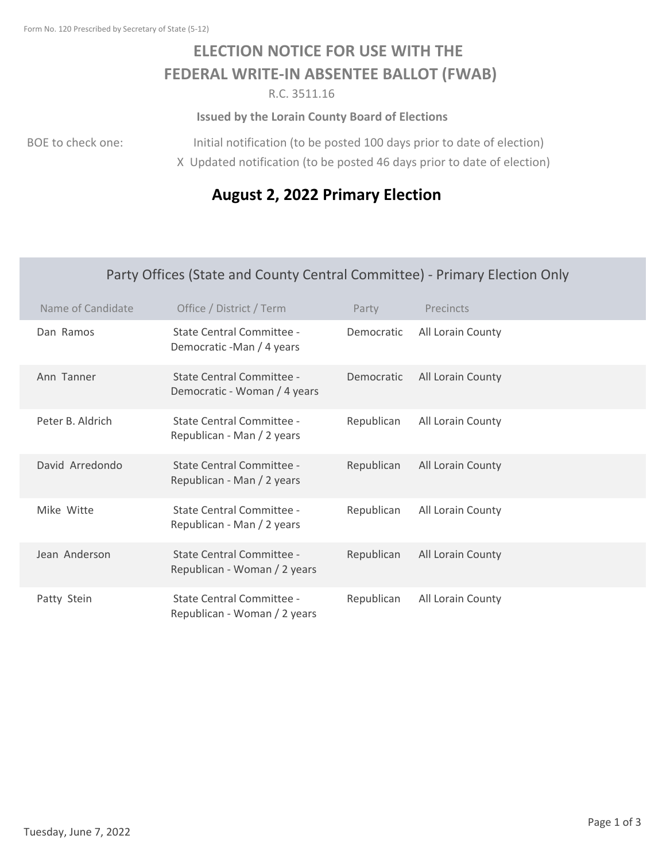## **ELECTION NOTICE FOR USE WITH THE FEDERAL WRITE‐IN ABSENTEE BALLOT (FWAB)**

R.C. 3511.16

**Issued by the Lorain County Board of Elections**

BOE to check one:

Initial notification (to be posted 100 days prior to date of election) X Updated notification (to be posted 46 days prior to date of election)

## **August 2, 2022 Primary Election**

## Party Offices (State and County Central Committee) ‐ Primary Election Only

| Name of Candidate | Office / District / Term                                  | Party      | Precincts         |
|-------------------|-----------------------------------------------------------|------------|-------------------|
| Dan Ramos         | State Central Committee -<br>Democratic -Man / 4 years    | Democratic | All Lorain County |
| Ann Tanner        | State Central Committee -<br>Democratic - Woman / 4 years | Democratic | All Lorain County |
| Peter B. Aldrich  | State Central Committee -<br>Republican - Man / 2 years   | Republican | All Lorain County |
| David Arredondo   | State Central Committee -<br>Republican - Man / 2 years   | Republican | All Lorain County |
| Mike Witte        | State Central Committee -<br>Republican - Man / 2 years   | Republican | All Lorain County |
| Jean Anderson     | State Central Committee -<br>Republican - Woman / 2 years | Republican | All Lorain County |
| Patty Stein       | State Central Committee -<br>Republican - Woman / 2 years | Republican | All Lorain County |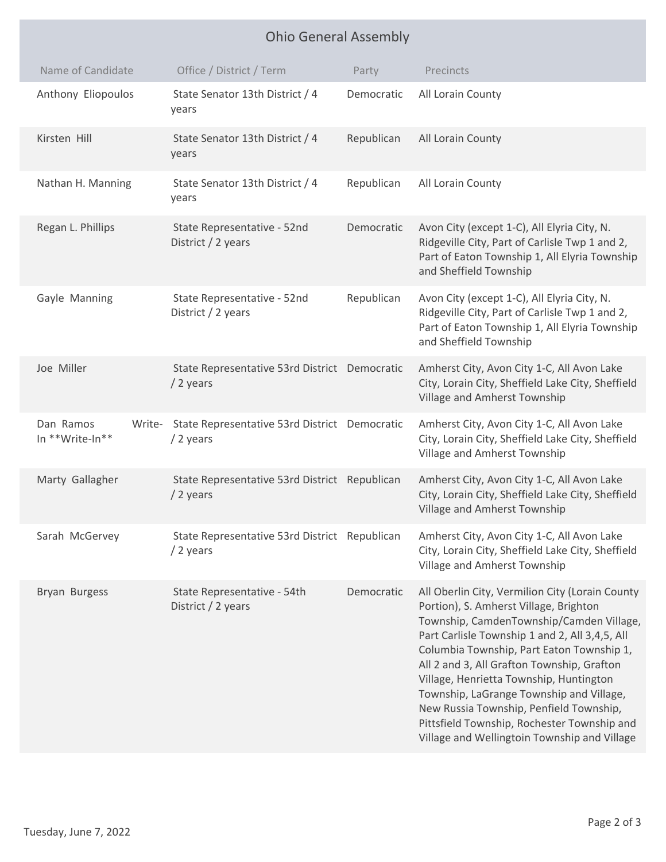| <b>Ohio General Assembly</b>           |                                                            |            |                                                                                                                                                                                                                                                                                                                                                                                                                                                                                                                     |  |  |
|----------------------------------------|------------------------------------------------------------|------------|---------------------------------------------------------------------------------------------------------------------------------------------------------------------------------------------------------------------------------------------------------------------------------------------------------------------------------------------------------------------------------------------------------------------------------------------------------------------------------------------------------------------|--|--|
| Name of Candidate                      | Office / District / Term                                   | Party      | Precincts                                                                                                                                                                                                                                                                                                                                                                                                                                                                                                           |  |  |
| Anthony Eliopoulos                     | State Senator 13th District / 4<br>years                   | Democratic | All Lorain County                                                                                                                                                                                                                                                                                                                                                                                                                                                                                                   |  |  |
| Kirsten Hill                           | State Senator 13th District / 4<br>years                   | Republican | All Lorain County                                                                                                                                                                                                                                                                                                                                                                                                                                                                                                   |  |  |
| Nathan H. Manning                      | State Senator 13th District / 4<br>years                   | Republican | All Lorain County                                                                                                                                                                                                                                                                                                                                                                                                                                                                                                   |  |  |
| Regan L. Phillips                      | State Representative - 52nd<br>District / 2 years          | Democratic | Avon City (except 1-C), All Elyria City, N.<br>Ridgeville City, Part of Carlisle Twp 1 and 2,<br>Part of Eaton Township 1, All Elyria Township<br>and Sheffield Township                                                                                                                                                                                                                                                                                                                                            |  |  |
| Gayle Manning                          | State Representative - 52nd<br>District / 2 years          | Republican | Avon City (except 1-C), All Elyria City, N.<br>Ridgeville City, Part of Carlisle Twp 1 and 2,<br>Part of Eaton Township 1, All Elyria Township<br>and Sheffield Township                                                                                                                                                                                                                                                                                                                                            |  |  |
| Joe Miller                             | State Representative 53rd District Democratic<br>/ 2 years |            | Amherst City, Avon City 1-C, All Avon Lake<br>City, Lorain City, Sheffield Lake City, Sheffield<br>Village and Amherst Township                                                                                                                                                                                                                                                                                                                                                                                     |  |  |
| Dan Ramos<br>Write-<br>In **Write-In** | State Representative 53rd District Democratic<br>/ 2 years |            | Amherst City, Avon City 1-C, All Avon Lake<br>City, Lorain City, Sheffield Lake City, Sheffield<br>Village and Amherst Township                                                                                                                                                                                                                                                                                                                                                                                     |  |  |
| Marty Gallagher                        | State Representative 53rd District Republican<br>/ 2 years |            | Amherst City, Avon City 1-C, All Avon Lake<br>City, Lorain City, Sheffield Lake City, Sheffield<br>Village and Amherst Township                                                                                                                                                                                                                                                                                                                                                                                     |  |  |
| Sarah McGervey                         | State Representative 53rd District Republican<br>/ 2 years |            | Amherst City, Avon City 1-C, All Avon Lake<br>City, Lorain City, Sheffield Lake City, Sheffield<br>Village and Amherst Township                                                                                                                                                                                                                                                                                                                                                                                     |  |  |
| Bryan Burgess                          | State Representative - 54th<br>District / 2 years          | Democratic | All Oberlin City, Vermilion City (Lorain County<br>Portion), S. Amherst Village, Brighton<br>Township, CamdenTownship/Camden Village,<br>Part Carlisle Township 1 and 2, All 3,4,5, All<br>Columbia Township, Part Eaton Township 1,<br>All 2 and 3, All Grafton Township, Grafton<br>Village, Henrietta Township, Huntington<br>Township, LaGrange Township and Village,<br>New Russia Township, Penfield Township,<br>Pittsfield Township, Rochester Township and<br>Village and Wellingtoin Township and Village |  |  |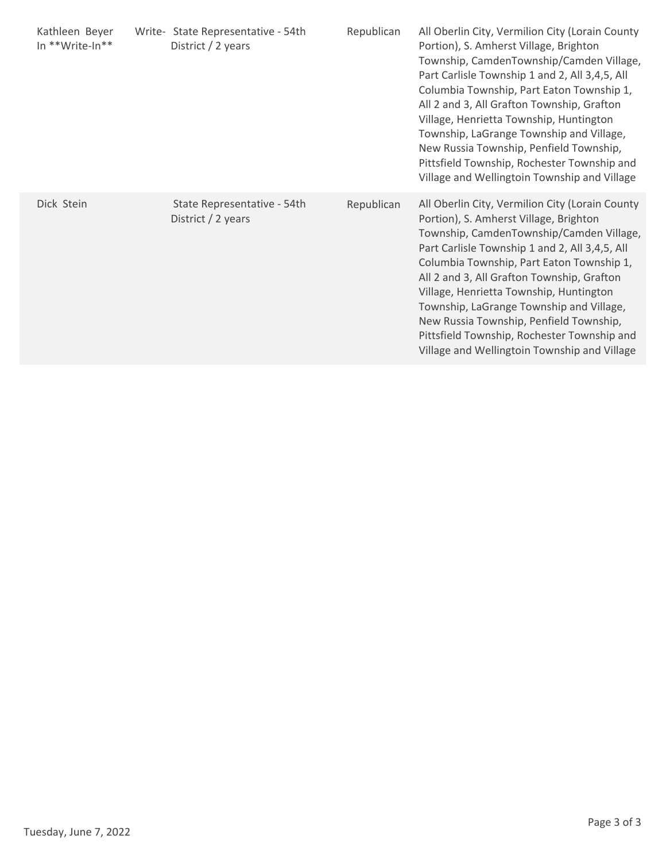| Kathleen Beyer<br>In **Write-In** | Write- State Representative - 54th<br>District / 2 years | Republican | All Oberlin City, Vermilion City (Lorain County<br>Portion), S. Amherst Village, Brighton<br>Township, CamdenTownship/Camden Village,<br>Part Carlisle Township 1 and 2, All 3,4,5, All<br>Columbia Township, Part Eaton Township 1,<br>All 2 and 3, All Grafton Township, Grafton<br>Village, Henrietta Township, Huntington<br>Township, LaGrange Township and Village,<br>New Russia Township, Penfield Township,<br>Pittsfield Township, Rochester Township and<br>Village and Wellingtoin Township and Village |
|-----------------------------------|----------------------------------------------------------|------------|---------------------------------------------------------------------------------------------------------------------------------------------------------------------------------------------------------------------------------------------------------------------------------------------------------------------------------------------------------------------------------------------------------------------------------------------------------------------------------------------------------------------|
| Dick Stein                        | State Representative - 54th<br>District / 2 years        | Republican | All Oberlin City, Vermilion City (Lorain County<br>Portion), S. Amherst Village, Brighton<br>Township, CamdenTownship/Camden Village,<br>Part Carlisle Township 1 and 2, All 3,4,5, All<br>Columbia Township, Part Eaton Township 1,<br>All 2 and 3, All Grafton Township, Grafton<br>Village, Henrietta Township, Huntington<br>Township, LaGrange Township and Village,<br>New Russia Township, Penfield Township,<br>Pittsfield Township, Rochester Township and<br>Village and Wellingtoin Township and Village |